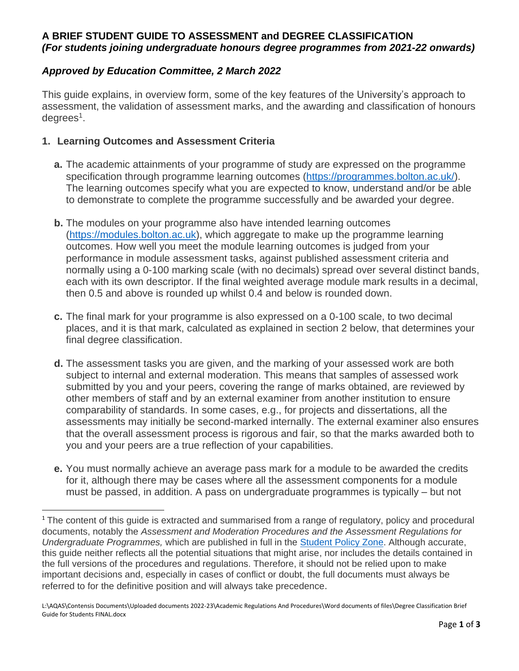# **A BRIEF STUDENT GUIDE TO ASSESSMENT and DEGREE CLASSIFICATION** *(For students joining undergraduate honours degree programmes from 2021-22 onwards)*

### *Approved by Education Committee, 2 March 2022*

This guide explains, in overview form, some of the key features of the University's approach to assessment, the validation of assessment marks, and the awarding and classification of honours degrees<sup>1</sup>.

#### **1. Learning Outcomes and Assessment Criteria**

 $\overline{\phantom{a}}$ 

- **a.** The academic attainments of your programme of study are expressed on the programme specification through programme learning outcomes [\(https://programmes.bolton.ac.uk/\)](https://programmes.bolton.ac.uk/). The learning outcomes specify what you are expected to know, understand and/or be able to demonstrate to complete the programme successfully and be awarded your degree.
- **b.** The modules on your programme also have intended learning outcomes [\(https://modules.bolton.ac.uk\)](https://modules.bolton.ac.uk/), which aggregate to make up the programme learning outcomes. How well you meet the module learning outcomes is judged from your performance in module assessment tasks, against published assessment criteria and normally using a 0-100 marking scale (with no decimals) spread over several distinct bands, each with its own descriptor. If the final weighted average module mark results in a decimal, then 0.5 and above is rounded up whilst 0.4 and below is rounded down.
- **c.** The final mark for your programme is also expressed on a 0-100 scale, to two decimal places, and it is that mark, calculated as explained in section 2 below, that determines your final degree classification.
- **d.** The assessment tasks you are given, and the marking of your assessed work are both subject to internal and external moderation. This means that samples of assessed work submitted by you and your peers, covering the range of marks obtained, are reviewed by other members of staff and by an external examiner from another institution to ensure comparability of standards. In some cases, e.g., for projects and dissertations, all the assessments may initially be second-marked internally. The external examiner also ensures that the overall assessment process is rigorous and fair, so that the marks awarded both to you and your peers are a true reflection of your capabilities.
- **e.** You must normally achieve an average pass mark for a module to be awarded the credits for it, although there may be cases where all the assessment components for a module must be passed, in addition. A pass on undergraduate programmes is typically – but not

<sup>&</sup>lt;sup>1</sup> The content of this guide is extracted and summarised from a range of regulatory, policy and procedural documents, notably the *Assessment and Moderation Procedures and the Assessment Regulations for Undergraduate Programmes,* which are published in full in the [Student Policy Zone.](https://www.bolton.ac.uk/student-policy-zone/) Although accurate, this guide neither reflects all the potential situations that might arise, nor includes the details contained in the full versions of the procedures and regulations. Therefore, it should not be relied upon to make important decisions and, especially in cases of conflict or doubt, the full documents must always be referred to for the definitive position and will always take precedence.

L:\AQAS\Contensis Documents\Uploaded documents 2022-23\Academic Regulations And Procedures\Word documents of files\Degree Classification Brief Guide for Students FINAL.docx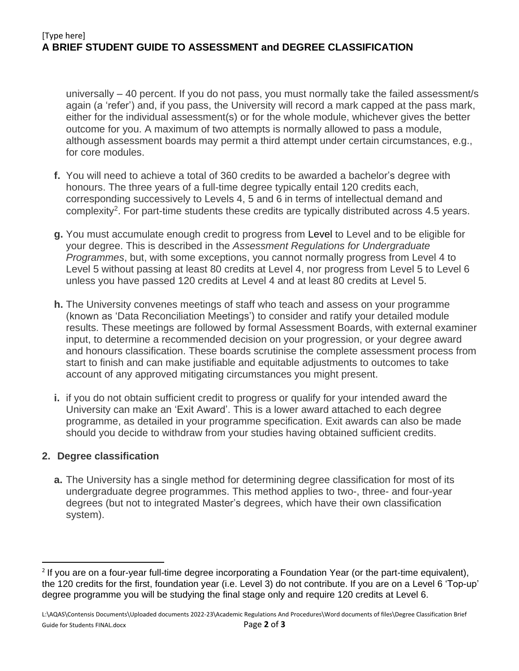## [Type here] **A BRIEF STUDENT GUIDE TO ASSESSMENT and DEGREE CLASSIFICATION**

universally – 40 percent. If you do not pass, you must normally take the failed assessment/s again (a 'refer') and, if you pass, the University will record a mark capped at the pass mark, either for the individual assessment(s) or for the whole module, whichever gives the better outcome for you. A maximum of two attempts is normally allowed to pass a module, although assessment boards may permit a third attempt under certain circumstances, e.g., for core modules.

- **f.** You will need to achieve a total of 360 credits to be awarded a bachelor's degree with honours. The three years of a full-time degree typically entail 120 credits each, corresponding successively to Levels 4, 5 and 6 in terms of intellectual demand and complexity<sup>2</sup>. For part-time students these credits are typically distributed across 4.5 years.
- **g.** You must accumulate enough credit to progress from Level to Level and to be eligible for your degree. This is described in the *Assessment Regulations for Undergraduate Programmes*, but, with some exceptions, you cannot normally progress from Level 4 to Level 5 without passing at least 80 credits at Level 4, nor progress from Level 5 to Level 6 unless you have passed 120 credits at Level 4 and at least 80 credits at Level 5.
- **h.** The University convenes meetings of staff who teach and assess on your programme (known as 'Data Reconciliation Meetings') to consider and ratify your detailed module results. These meetings are followed by formal Assessment Boards, with external examiner input, to determine a recommended decision on your progression, or your degree award and honours classification. These boards scrutinise the complete assessment process from start to finish and can make justifiable and equitable adjustments to outcomes to take account of any approved mitigating circumstances you might present.
- **i.** if you do not obtain sufficient credit to progress or qualify for your intended award the University can make an 'Exit Award'. This is a lower award attached to each degree programme, as detailed in your programme specification. Exit awards can also be made should you decide to withdraw from your studies having obtained sufficient credits.

#### **2. Degree classification**

 $\overline{\phantom{a}}$ 

**a.** The University has a single method for determining degree classification for most of its undergraduate degree programmes. This method applies to two-, three- and four-year degrees (but not to integrated Master's degrees, which have their own classification system).

<sup>&</sup>lt;sup>2</sup> If you are on a four-year full-time degree incorporating a Foundation Year (or the part-time equivalent), the 120 credits for the first, foundation year (i.e. Level 3) do not contribute. If you are on a Level 6 'Top-up' degree programme you will be studying the final stage only and require 120 credits at Level 6.